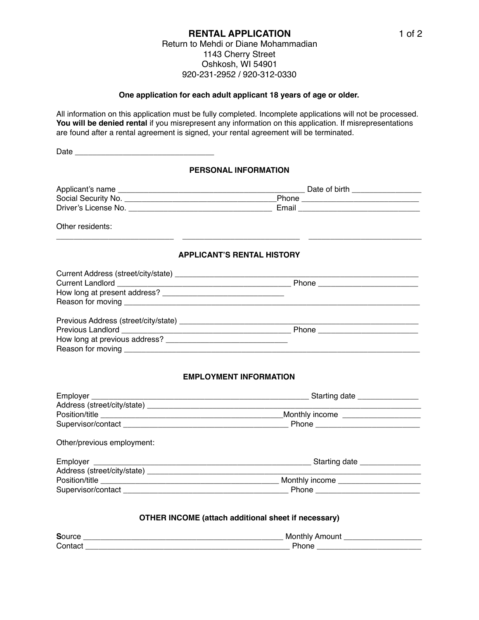#### **RENTAL APPLICATION** Return to Mehdi or Diane Mohammadian 1143 Cherry Street Oshkosh, WI 54901 920-231-2952 / 920-312-0330

#### **One application for each adult applicant 18 years of age or older.**

All information on this application must be fully completed. Incomplete applications will not be processed. You will be denied rental if you misrepresent any information on this application. If misrepresentations are found after a rental agreement is signed, your rental agreement will be terminated.

|                            | PERSONAL INFORMATION              |
|----------------------------|-----------------------------------|
|                            |                                   |
|                            |                                   |
|                            |                                   |
| Other residents:           |                                   |
|                            | <b>APPLICANT'S RENTAL HISTORY</b> |
|                            |                                   |
|                            |                                   |
|                            |                                   |
|                            |                                   |
|                            |                                   |
|                            |                                   |
|                            |                                   |
|                            |                                   |
|                            | <b>EMPLOYMENT INFORMATION</b>     |
|                            |                                   |
|                            |                                   |
|                            |                                   |
|                            |                                   |
| Other/previous employment: |                                   |
|                            |                                   |
|                            |                                   |

# Address (street/city/state) \_\_\_\_\_\_\_\_\_\_\_\_\_\_\_\_\_\_\_\_\_\_\_\_\_\_\_\_\_\_\_\_\_\_\_\_\_\_\_\_\_\_\_\_\_\_\_\_\_\_\_\_\_\_\_\_\_\_\_\_\_\_\_ Position/title \_\_\_\_\_\_\_\_\_\_\_\_\_\_\_\_\_\_\_\_\_\_\_\_\_\_\_\_\_\_\_\_\_\_\_\_\_\_\_\_\_ Monthly income \_\_\_\_\_\_\_\_\_\_\_\_\_\_\_\_\_\_\_ Supervisor/contact \_\_\_\_\_\_\_\_\_\_\_\_\_\_\_\_\_\_\_\_\_\_\_\_\_\_\_\_\_\_\_\_\_\_\_\_\_\_ Phone \_\_\_\_\_\_\_\_\_\_\_\_\_\_\_\_\_\_\_\_\_\_\_\_

### **OTHER INCOME (attach additional sheet if necessary)**

| c | w |
|---|---|
| ∽ | . |
| ∽ |   |